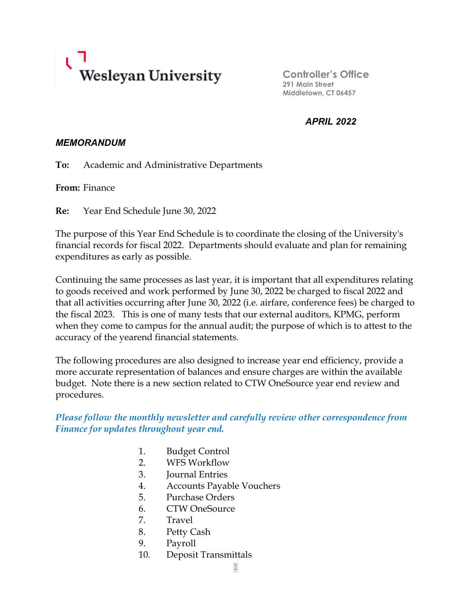

**Controller's Office 291 Main Street Middletown, CT 06457**

*APRIL 2022*

### *MEMORANDUM*

**To:** Academic and Administrative Departments

**From:** Finance

**Re:** Year End Schedule June 30, 2022

The purpose of this Year End Schedule is to coordinate the closing of the University's financial records for fiscal 2022. Departments should evaluate and plan for remaining expenditures as early as possible.

Continuing the same processes as last year, it is important that all expenditures relating to goods received and work performed by June 30, 2022 be charged to fiscal 2022 and that all activities occurring after June 30, 2022 (i.e. airfare, conference fees) be charged to the fiscal 2023. This is one of many tests that our external auditors, KPMG, perform when they come to campus for the annual audit; the purpose of which is to attest to the accuracy of the yearend financial statements.

The following procedures are also designed to increase year end efficiency, provide a more accurate representation of balances and ensure charges are within the available budget. Note there is a new section related to CTW OneSource year end review and procedures.

*Please follow the monthly newsletter and carefully review other correspondence from Finance for updates throughout year end.* 

- 1. Budget Control
- 2. WFS Workflow
- 3. Journal Entries
- 4. Accounts Payable Vouchers
- 5. Purchase Orders
- 6. CTW OneSource
- 7. Travel
- 8. Petty Cash
- 9. Payroll
- 10. Deposit Transmittals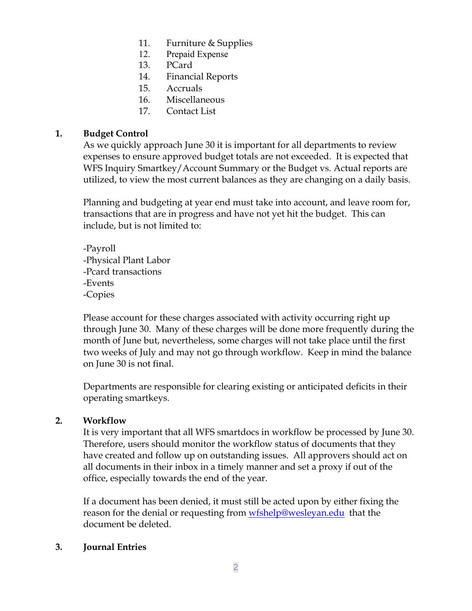- 11. Furniture & Supplies
- 12. Prepaid Expense
- 13. PCard
- 14. Financial Reports
- 15. Accruals
- 16. Miscellaneous
- 17. Contact List

### **1. Budget Control**

As we quickly approach June 30 it is important for all departments to review expenses to ensure approved budget totals are not exceeded. It is expected that WFS Inquiry Smartkey/Account Summary or the Budget vs. Actual reports are utilized, to view the most current balances as they are changing on a daily basis.

Planning and budgeting at year end must take into account, and leave room for, transactions that are in progress and have not yet hit the budget. This can include, but is not limited to:

-Payroll -Physical Plant Labor -Pcard transactions -Events -Copies

Please account for these charges associated with activity occurring right up through June 30. Many of these charges will be done more frequently during the month of June but, nevertheless, some charges will not take place until the first two weeks of July and may not go through workflow. Keep in mind the balance on June 30 is not final.

Departments are responsible for clearing existing or anticipated deficits in their operating smartkeys.

### **2. Workflow**

It is very important that all WFS smartdocs in workflow be processed by June 30. Therefore, users should monitor the workflow status of documents that they have created and follow up on outstanding issues. All approvers should act on all documents in their inbox in a timely manner and set a proxy if out of the office, especially towards the end of the year.

If a document has been denied, it must still be acted upon by either fixing the reason for the denial or requesting from [wfshelp@wesleyan.edu](mailto:wfshelp@wesleyan.edu) that the document be deleted.

### **3. Journal Entries**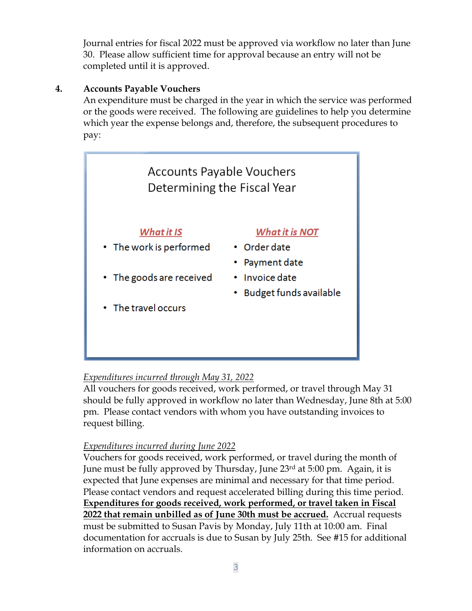Journal entries for fiscal 2022 must be approved via workflow no later than June 30. Please allow sufficient time for approval because an entry will not be completed until it is approved.

## **4. Accounts Payable Vouchers**

An expenditure must be charged in the year in which the service was performed or the goods were received. The following are guidelines to help you determine which year the expense belongs and, therefore, the subsequent procedures to pay:



# *Expenditures incurred through May 31, 2022*

All vouchers for goods received, work performed, or travel through May 31 should be fully approved in workflow no later than Wednesday, June 8th at 5:00 pm. Please contact vendors with whom you have outstanding invoices to request billing.

# *Expenditures incurred during June 2022*

Vouchers for goods received, work performed, or travel during the month of June must be fully approved by Thursday, June 23<sup>rd</sup> at 5:00 pm. Again, it is expected that June expenses are minimal and necessary for that time period. Please contact vendors and request accelerated billing during this time period. **Expenditures for goods received, work performed, or travel taken in Fiscal 2022 that remain unbilled as of June 30th must be accrued.** Accrual requests must be submitted to Susan Pavis by Monday, July 11th at 10:00 am. Final documentation for accruals is due to Susan by July 25th. See #15 for additional information on accruals.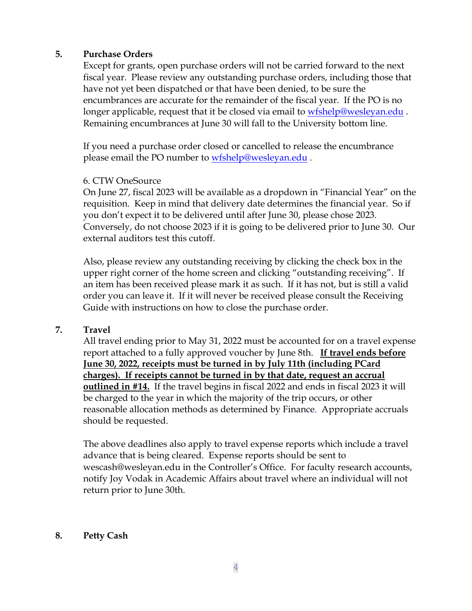#### **5. Purchase Orders**

Except for grants, open purchase orders will not be carried forward to the next fiscal year. Please review any outstanding purchase orders, including those that have not yet been dispatched or that have been denied, to be sure the encumbrances are accurate for the remainder of the fiscal year. If the PO is no longer applicable, request that it be closed via email to [wfshelp@wesleyan.edu](mailto:wfshelp@wesleyan.edu). Remaining encumbrances at June 30 will fall to the University bottom line.

If you need a purchase order closed or cancelled to release the encumbrance please email the PO number to [wfshelp@wesleyan.edu](mailto:wfshelp@wesleyan.edu).

#### 6. CTW OneSource

On June 27, fiscal 2023 will be available as a dropdown in "Financial Year" on the requisition. Keep in mind that delivery date determines the financial year. So if you don't expect it to be delivered until after June 30, please chose 2023. Conversely, do not choose 2023 if it is going to be delivered prior to June 30. Our external auditors test this cutoff.

Also, please review any outstanding receiving by clicking the check box in the upper right corner of the home screen and clicking "outstanding receiving". If an item has been received please mark it as such. If it has not, but is still a valid order you can leave it. If it will never be received please consult the Receiving Guide with instructions on how to close the purchase order.

### **7. Travel**

All travel ending prior to May 31, 2022 must be accounted for on a travel expense report attached to a fully approved voucher by June 8th. **If travel ends before June 30, 2022, receipts must be turned in by July 11th (including PCard charges). If receipts cannot be turned in by that date, request an accrual outlined in #14.** If the travel begins in fiscal 2022 and ends in fiscal 2023 it will be charged to the year in which the majority of the trip occurs, or other reasonable allocation methods as determined by Finance.Appropriate accruals should be requested.

The above deadlines also apply to travel expense reports which include a travel advance that is being cleared. Expense reports should be sent to wescash@wesleyan.edu in the Controller's Office. For faculty research accounts, notify Joy Vodak in Academic Affairs about travel where an individual will not return prior to June 30th.

### **8. Petty Cash**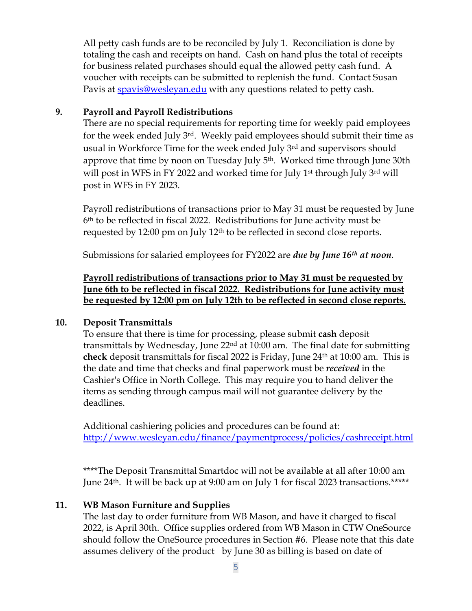All petty cash funds are to be reconciled by July 1. Reconciliation is done by totaling the cash and receipts on hand. Cash on hand plus the total of receipts for business related purchases should equal the allowed petty cash fund. A voucher with receipts can be submitted to replenish the fund. Contact Susan Pavis at [spavis@wesleyan.edu](mailto:spavis@wesleyan.edu) with any questions related to petty cash.

### **9. Payroll and Payroll Redistributions**

There are no special requirements for reporting time for weekly paid employees for the week ended July 3rd. Weekly paid employees should submit their time as usual in Workforce Time for the week ended July 3rd and supervisors should approve that time by noon on Tuesday July 5<sup>th</sup>. Worked time through June 30th will post in WFS in FY 2022 and worked time for July 1<sup>st</sup> through July 3<sup>rd</sup> will post in WFS in FY 2023.

Payroll redistributions of transactions prior to May 31 must be requested by June 6th to be reflected in fiscal 2022. Redistributions for June activity must be requested by 12:00 pm on July 12th to be reflected in second close reports.

Submissions for salaried employees for FY2022 are *due by June 16th at noon*.

## **Payroll redistributions of transactions prior to May 31 must be requested by June 6th to be reflected in fiscal 2022. Redistributions for June activity must be requested by 12:00 pm on July 12th to be reflected in second close reports.**

## **10. Deposit Transmittals**

To ensure that there is time for processing, please submit **cash** deposit transmittals by Wednesday, June  $22<sup>nd</sup>$  at 10:00 am. The final date for submitting **check** deposit transmittals for fiscal 2022 is Friday, June 24th at 10:00 am. This is the date and time that checks and final paperwork must be *received* in the Cashier's Office in North College. This may require you to hand deliver the items as sending through campus mail will not guarantee delivery by the deadlines.

Additional cashiering policies and procedures can be found at: <http://www.wesleyan.edu/finance/paymentprocess/policies/cashreceipt.html>

\*\*\*\*The Deposit Transmittal Smartdoc will not be available at all after 10:00 am June 24th. It will be back up at 9:00 am on July 1 for fiscal 2023 transactions.\*\*\*\*\*

## **11. WB Mason Furniture and Supplies**

The last day to order furniture from WB Mason, and have it charged to fiscal 2022, is April 30th. Office supplies ordered from WB Mason in CTW OneSource should follow the OneSource procedures in Section #6. Please note that this date assumes delivery of the product by June 30 as billing is based on date of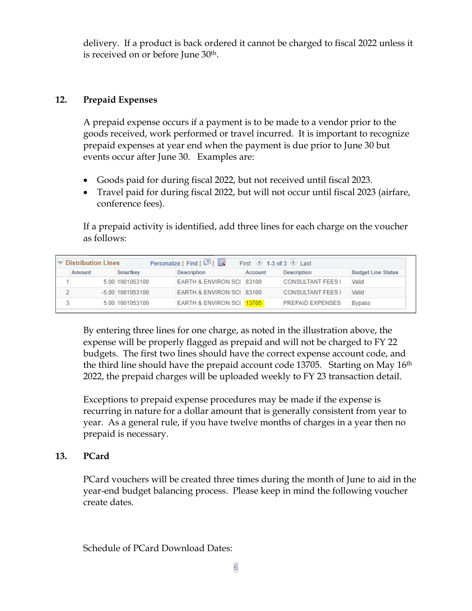delivery. If a product is back ordered it cannot be charged to fiscal 2022 unless it is received on or before June 30th.

### **12. Prepaid Expenses**

A prepaid expense occurs if a payment is to be made to a vendor prior to the goods received, work performed or travel incurred. It is important to recognize prepaid expenses at year end when the payment is due prior to June 30 but events occur after June 30. Examples are:

- Goods paid for during fiscal 2022, but not received until fiscal 2023.
- Travel paid for during fiscal 2022, but will not occur until fiscal 2023 (airfare, conference fees).

If a prepaid activity is identified, add three lines for each charge on the voucher as follows:

| Personalize   Find   2    <br>First $\langle 0 \rangle$ 1-3 of 3 $\langle 0 \rangle$ Last<br><b>▼ Distribution Lines</b> |        |                    |                                      |         |                          |                           |  |
|--------------------------------------------------------------------------------------------------------------------------|--------|--------------------|--------------------------------------|---------|--------------------------|---------------------------|--|
|                                                                                                                          | Amount | Smartkey           | <b>Description</b>                   | Account | <b>Description</b>       | <b>Budget Line Status</b> |  |
|                                                                                                                          |        | 5.00 1001053100    | EARTH & ENVIRON SCI 83100            |         | <b>CONSULTANT FEES I</b> | Valid                     |  |
|                                                                                                                          |        | $-5.00$ 1001053100 | EARTH & ENVIRON SCI 83100            |         | <b>CONSULTANT FEES I</b> | Valid                     |  |
| о                                                                                                                        |        | 5.00 1001053100    | <b>EARTH &amp; ENVIRON SCI 13705</b> |         | <b>PREPAID EXPENSES</b>  | <b>Bypass</b>             |  |

By entering three lines for one charge, as noted in the illustration above, the expense will be properly flagged as prepaid and will not be charged to FY 22 budgets. The first two lines should have the correct expense account code, and the third line should have the prepaid account code 13705. Starting on May 16<sup>th</sup> 2022, the prepaid charges will be uploaded weekly to FY 23 transaction detail.

Exceptions to prepaid expense procedures may be made if the expense is recurring in nature for a dollar amount that is generally consistent from year to year. As a general rule, if you have twelve months of charges in a year then no prepaid is necessary.

### **13. PCard**

PCard vouchers will be created three times during the month of June to aid in the year-end budget balancing process. Please keep in mind the following voucher create dates.

Schedule of PCard Download Dates: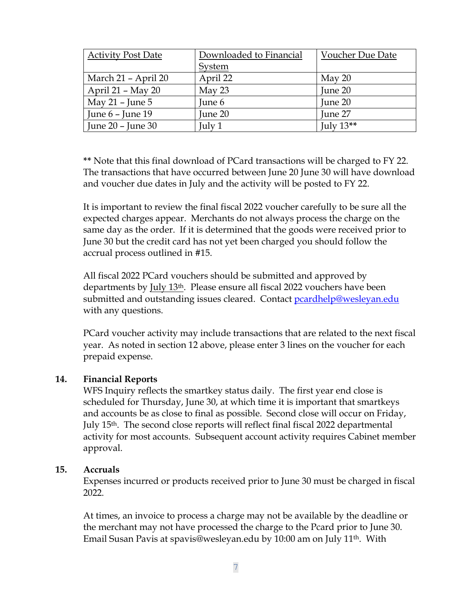| <b>Activity Post Date</b> | Downloaded to Financial | Voucher Due Date |  |
|---------------------------|-------------------------|------------------|--|
|                           | System                  |                  |  |
| March 21 - April 20       | April 22                | May 20           |  |
| April $21 - May 20$       | May 23                  | June 20          |  |
| May 21 – June 5           | June 6                  | June 20          |  |
| June $6$ – June 19        | June 20                 | June 27          |  |
| June $20$ – June $30$     | July 1                  | July $13**$      |  |

**\*\*** Note that this final download of PCard transactions will be charged to FY 22. The transactions that have occurred between June 20 June 30 will have download and voucher due dates in July and the activity will be posted to FY 22.

It is important to review the final fiscal 2022 voucher carefully to be sure all the expected charges appear. Merchants do not always process the charge on the same day as the order. If it is determined that the goods were received prior to June 30 but the credit card has not yet been charged you should follow the accrual process outlined in #15.

All fiscal 2022 PCard vouchers should be submitted and approved by departments by July 13th. Please ensure all fiscal 2022 vouchers have been submitted and outstanding issues cleared. Contact [pcardhelp@wesleyan.edu](mailto:pcardhelp@wesleyan.edu) with any questions.

PCard voucher activity may include transactions that are related to the next fiscal year. As noted in section 12 above, please enter 3 lines on the voucher for each prepaid expense.

#### **14. Financial Reports**

WFS Inquiry reflects the smartkey status daily. The first year end close is scheduled for Thursday, June 30, at which time it is important that smartkeys and accounts be as close to final as possible. Second close will occur on Friday, July 15th. The second close reports will reflect final fiscal 2022 departmental activity for most accounts. Subsequent account activity requires Cabinet member approval.

#### **15. Accruals**

Expenses incurred or products received prior to June 30 must be charged in fiscal 2022.

At times, an invoice to process a charge may not be available by the deadline or the merchant may not have processed the charge to the Pcard prior to June 30. Email Susan Pavis at spavis@wesleyan.edu by 10:00 am on July 11th. With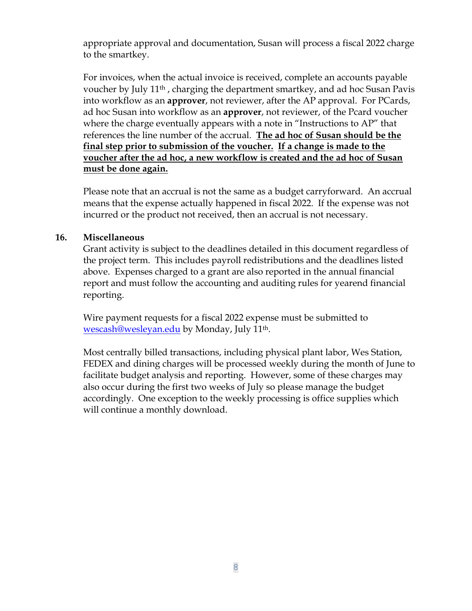appropriate approval and documentation, Susan will process a fiscal 2022 charge to the smartkey.

For invoices, when the actual invoice is received, complete an accounts payable voucher by July 11th , charging the department smartkey, and ad hoc Susan Pavis into workflow as an **approver**, not reviewer, after the AP approval. For PCards, ad hoc Susan into workflow as an **approver**, not reviewer, of the Pcard voucher where the charge eventually appears with a note in "Instructions to AP" that references the line number of the accrual. **The ad hoc of Susan should be the final step prior to submission of the voucher. If a change is made to the voucher after the ad hoc, a new workflow is created and the ad hoc of Susan must be done again.**

Please note that an accrual is not the same as a budget carryforward. An accrual means that the expense actually happened in fiscal 2022. If the expense was not incurred or the product not received, then an accrual is not necessary.

### **16. Miscellaneous**

Grant activity is subject to the deadlines detailed in this document regardless of the project term. This includes payroll redistributions and the deadlines listed above. Expenses charged to a grant are also reported in the annual financial report and must follow the accounting and auditing rules for yearend financial reporting.

Wire payment requests for a fiscal 2022 expense must be submitted to [wescash@wesleyan.edu](mailto:wescash@wesleyan.edu) by Monday, July 11th.

Most centrally billed transactions, including physical plant labor, Wes Station, FEDEX and dining charges will be processed weekly during the month of June to facilitate budget analysis and reporting. However, some of these charges may also occur during the first two weeks of July so please manage the budget accordingly. One exception to the weekly processing is office supplies which will continue a monthly download.